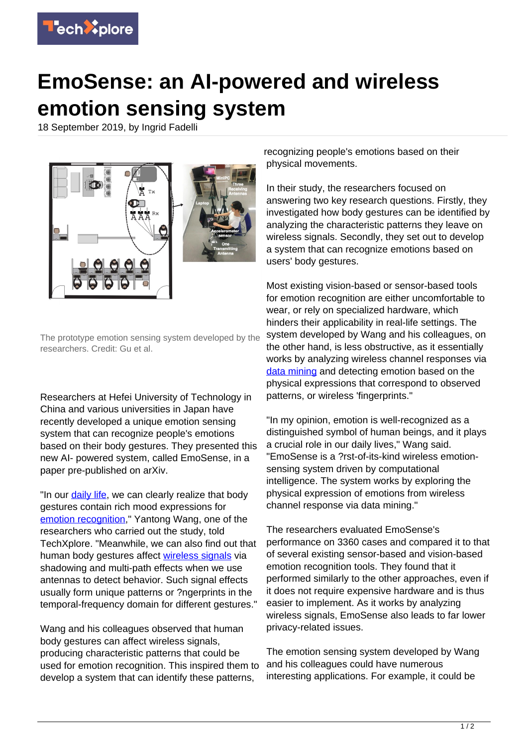

## **EmoSense: an AI-powered and wireless emotion sensing system**

18 September 2019, by Ingrid Fadelli



The prototype emotion sensing system developed by the researchers. Credit: Gu et al.

Researchers at Hefei University of Technology in China and various universities in Japan have recently developed a unique emotion sensing system that can recognize people's emotions based on their body gestures. They presented this new AI- powered system, called EmoSense, in a paper pre-published on arXiv.

"In our [daily life](https://techxplore.com/tags/daily+life/), we can clearly realize that body gestures contain rich mood expressions for [emotion recognition](https://techxplore.com/tags/emotion+recognition/)," Yantong Wang, one of the researchers who carried out the study, told TechXplore. "Meanwhile, we can also find out that human body gestures affect [wireless signals](https://techxplore.com/tags/wireless+signals/) via shadowing and multi-path effects when we use antennas to detect behavior. Such signal effects usually form unique patterns or ?ngerprints in the temporal-frequency domain for different gestures."

Wang and his colleagues observed that human body gestures can affect wireless signals, producing characteristic patterns that could be used for emotion recognition. This inspired them to develop a system that can identify these patterns,

recognizing people's emotions based on their physical movements.

In their study, the researchers focused on answering two key research questions. Firstly, they investigated how body gestures can be identified by analyzing the characteristic patterns they leave on wireless signals. Secondly, they set out to develop a system that can recognize emotions based on users' body gestures.

Most existing vision-based or sensor-based tools for emotion recognition are either uncomfortable to wear, or rely on specialized hardware, which hinders their applicability in real-life settings. The system developed by Wang and his colleagues, on the other hand, is less obstructive, as it essentially works by analyzing wireless channel responses via [data mining](https://techxplore.com/tags/data+mining/) and detecting emotion based on the physical expressions that correspond to observed patterns, or wireless 'fingerprints."

"In my opinion, emotion is well-recognized as a distinguished symbol of human beings, and it plays a crucial role in our daily lives," Wang said. "EmoSense is a ?rst-of-its-kind wireless emotionsensing system driven by computational intelligence. The system works by exploring the physical expression of emotions from wireless channel response via data mining."

The researchers evaluated EmoSense's performance on 3360 cases and compared it to that of several existing sensor-based and vision-based emotion recognition tools. They found that it performed similarly to the other approaches, even if it does not require expensive hardware and is thus easier to implement. As it works by analyzing wireless signals, EmoSense also leads to far lower privacy-related issues.

The emotion sensing system developed by Wang and his colleagues could have numerous interesting applications. For example, it could be